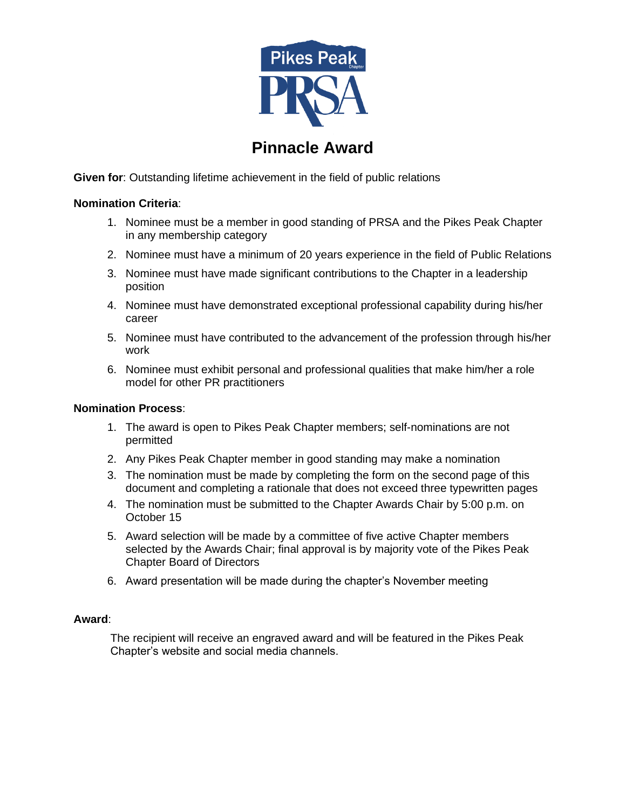

## **Pinnacle Award**

**Given for**: Outstanding lifetime achievement in the field of public relations

## **Nomination Criteria**:

- 1. Nominee must be a member in good standing of PRSA and the Pikes Peak Chapter in any membership category
- 2. Nominee must have a minimum of 20 years experience in the field of Public Relations
- 3. Nominee must have made significant contributions to the Chapter in a leadership position
- 4. Nominee must have demonstrated exceptional professional capability during his/her career
- 5. Nominee must have contributed to the advancement of the profession through his/her work
- 6. Nominee must exhibit personal and professional qualities that make him/her a role model for other PR practitioners

## **Nomination Process**:

- 1. The award is open to Pikes Peak Chapter members; self-nominations are not permitted
- 2. Any Pikes Peak Chapter member in good standing may make a nomination
- 3. The nomination must be made by completing the form on the second page of this document and completing a rationale that does not exceed three typewritten pages
- 4. The nomination must be submitted to the Chapter Awards Chair by 5:00 p.m. on October 15
- 5. Award selection will be made by a committee of five active Chapter members selected by the Awards Chair; final approval is by majority vote of the Pikes Peak Chapter Board of Directors
- 6. Award presentation will be made during the chapter's November meeting

## **Award**:

The recipient will receive an engraved award and will be featured in the Pikes Peak Chapter's website and social media channels.